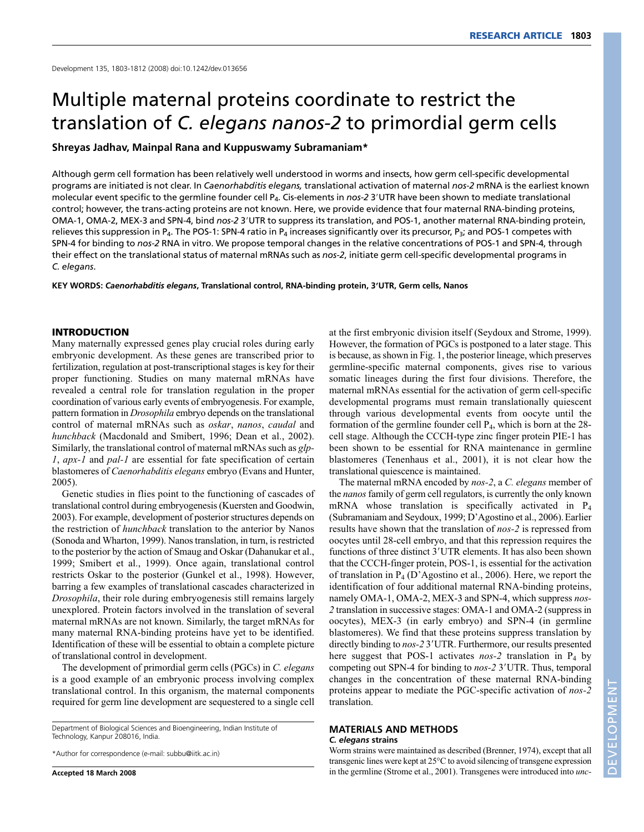# Multiple maternal proteins coordinate to restrict the translation of *C. elegans nanos-2* to primordial germ cells

**Shreyas Jadhav, Mainpal Rana and Kuppuswamy Subramaniam\***

Although germ cell formation has been relatively well understood in worms and insects, how germ cell-specific developmental programs are initiated is not clear. In *Caenorhabditis elegans,* translational activation of maternal *nos-2* mRNA is the earliest known molecular event specific to the germline founder cell P<sub>4</sub>. Cis-elements in nos-2 3'UTR have been shown to mediate translational control; however, the trans-acting proteins are not known. Here, we provide evidence that four maternal RNA-binding proteins, OMA-1, OMA-2, MEX-3 and SPN-4, bind nos-2 3'UTR to suppress its translation, and POS-1, another maternal RNA-binding protein, relieves this suppression in P<sub>4</sub>. The POS-1: SPN-4 ratio in P<sub>4</sub> increases significantly over its precursor, P<sub>3</sub>; and POS-1 competes with SPN-4 for binding to *nos-2* RNA in vitro. We propose temporal changes in the relative concentrations of POS-1 and SPN-4, through their effect on the translational status of maternal mRNAs such as *nos-2*, initiate germ cell-specific developmental programs in *C. elegans*.

**KEY WORDS:** *Caenorhabditis elegans***, Translational control, RNA-binding protein, 3**-**UTR, Germ cells, Nanos**

## INTRODUCTION

Many maternally expressed genes play crucial roles during early embryonic development. As these genes are transcribed prior to fertilization, regulation at post-transcriptional stages is key for their proper functioning. Studies on many maternal mRNAs have revealed a central role for translation regulation in the proper coordination of various early events of embryogenesis. For example, pattern formation in *Drosophila* embryo depends on the translational control of maternal mRNAs such as *oskar*, *nanos*, *caudal* and *hunchback* (Macdonald and Smibert, 1996; Dean et al., 2002). Similarly, the translational control of maternal mRNAs such as *glp-1*, *apx-1* and *pal-1* are essential for fate specification of certain blastomeres of *Caenorhabditis elegans* embryo (Evans and Hunter, 2005).

Genetic studies in flies point to the functioning of cascades of translational control during embryogenesis (Kuersten and Goodwin, 2003). For example, development of posterior structures depends on the restriction of *hunchback* translation to the anterior by Nanos (Sonoda and Wharton, 1999). Nanos translation, in turn, is restricted to the posterior by the action of Smaug and Oskar (Dahanukar et al., 1999; Smibert et al., 1999). Once again, translational control restricts Oskar to the posterior (Gunkel et al., 1998). However, barring a few examples of translational cascades characterized in *Drosophila*, their role during embryogenesis still remains largely unexplored. Protein factors involved in the translation of several maternal mRNAs are not known. Similarly, the target mRNAs for many maternal RNA-binding proteins have yet to be identified. Identification of these will be essential to obtain a complete picture of translational control in development.

The development of primordial germ cells (PGCs) in *C. elegans* is a good example of an embryonic process involving complex translational control. In this organism, the maternal components required for germ line development are sequestered to a single cell

Department of Biological Sciences and Bioengineering, Indian Institute of Technology, Kanpur 208016, India.

\*Author for correspondence (e-mail: subbu@iitk.ac.in)

**Accepted 18 March 2008**

at the first embryonic division itself (Seydoux and Strome, 1999). However, the formation of PGCs is postponed to a later stage. This is because, as shown in Fig. 1, the posterior lineage, which preserves germline-specific maternal components, gives rise to various somatic lineages during the first four divisions. Therefore, the maternal mRNAs essential for the activation of germ cell-specific developmental programs must remain translationally quiescent through various developmental events from oocyte until the formation of the germline founder cell P4, which is born at the 28 cell stage. Although the CCCH-type zinc finger protein PIE-1 has been shown to be essential for RNA maintenance in germline blastomeres (Tenenhaus et al., 2001), it is not clear how the translational quiescence is maintained.

The maternal mRNA encoded by *nos-2*, a *C. elegans* member of the *nanos*family of germ cell regulators, is currently the only known mRNA whose translation is specifically activated in P<sup>4</sup> (Subramaniam and Seydoux, 1999; D'Agostino et al., 2006). Earlier results have shown that the translation of *nos-2* is repressed from oocytes until 28-cell embryo, and that this repression requires the functions of three distinct 3'UTR elements. It has also been shown that the CCCH-finger protein, POS-1, is essential for the activation of translation in  $P_4$  (D'Agostino et al., 2006). Here, we report the identification of four additional maternal RNA-binding proteins, namely OMA-1, OMA-2, MEX-3 and SPN-4, which suppress *nos-2* translation in successive stages: OMA-1 and OMA-2 (suppress in oocytes), MEX-3 (in early embryo) and SPN-4 (in germline blastomeres). We find that these proteins suppress translation by directly binding to nos-2 3'UTR. Furthermore, our results presented here suggest that POS-1 activates *nos-2* translation in P<sub>4</sub> by competing out SPN-4 for binding to *nos-2* 3'UTR. Thus, temporal changes in the concentration of these maternal RNA-binding proteins appear to mediate the PGC-specific activation of *nos-2* translation.

#### **MATERIALS AND METHODS** *C. elegans* **strains**

Worm strains were maintained as described (Brenner, 1974), except that all transgenic lines were kept at 25°C to avoid silencing of transgene expression in the germline (Strome et al., 2001). Transgenes were introduced into *unc-*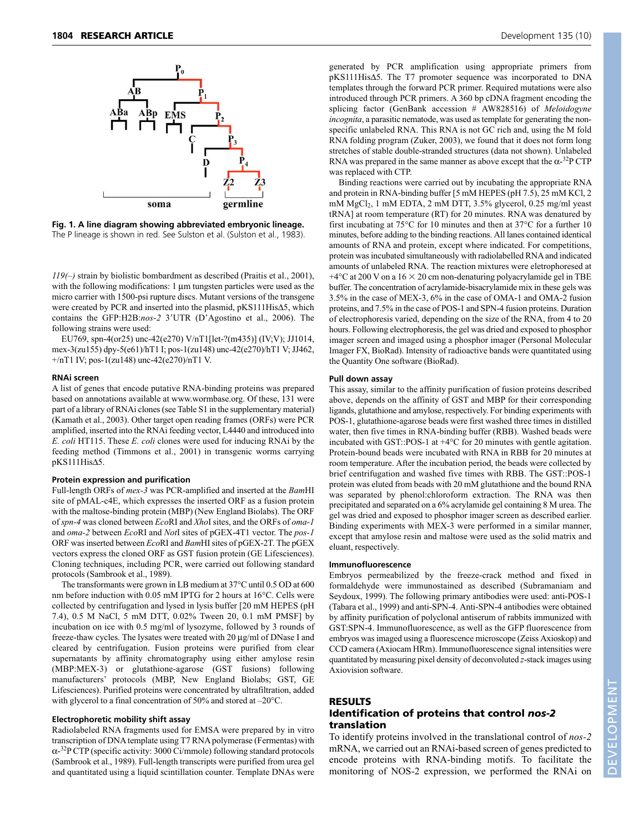

**Fig. 1. A line diagram showing abbreviated embryonic lineage.** The P lineage is shown in red. See Sulston et al. (Sulston et al., 1983).

*119(–)* strain by biolistic bombardment as described (Praitis et al., 2001), with the following modifications: 1 μm tungsten particles were used as the micro carrier with 1500-psi rupture discs. Mutant versions of the transgene were created by PCR and inserted into the plasmid, pKS111His∆5, which contains the GFP:H2B:nos-2 3'UTR (D'Agostino et al., 2006). The following strains were used:

EU769, spn-4(or25) unc-42(e270) V/nT1[let-?(m435)] (IV;V); JJ1014, mex-3(zu155) dpy-5(e61)/hT1 I; pos-1(zu148) unc-42(e270)/hT1 V; JJ462, +/nT1 IV; pos-1(zu148) unc-42(e270)/nT1 V.

#### **RNAi screen**

A list of genes that encode putative RNA-binding proteins was prepared based on annotations available at www.wormbase.org. Of these, 131 were part of a library of RNAi clones (see Table S1 in the supplementary material) (Kamath et al., 2003). Other target open reading frames (ORFs) were PCR amplified, inserted into the RNAi feeding vector, L4440 and introduced into *E. coli* HT115. These *E. coli* clones were used for inducing RNAi by the feeding method (Timmons et al., 2001) in transgenic worms carrying pKS111His∆5.

#### **Protein expression and purification**

Full-length ORFs of *mex-3* was PCR-amplified and inserted at the *Bam*HI site of pMAL-c4E, which expresses the inserted ORF as a fusion protein with the maltose-binding protein (MBP) (New England Biolabs). The ORF of *spn-4* was cloned between *Eco*RI and *Xho*I sites, and the ORFs of *oma-1* and *oma-2* between *Eco*RI and *Not*I sites of pGEX-4T1 vector. The *pos-1* ORF was inserted between *Eco*RI and *Bam*HI sites of pGEX-2T. The pGEX vectors express the cloned ORF as GST fusion protein (GE Lifesciences). Cloning techniques, including PCR, were carried out following standard protocols (Sambrook et al., 1989).

The transformants were grown in LB medium at 37°C until 0.5 OD at 600 nm before induction with 0.05 mM IPTG for 2 hours at 16°C. Cells were collected by centrifugation and lysed in lysis buffer [20 mM HEPES (pH 7.4), 0.5 M NaCl, 5 mM DTT, 0.02% Tween 20, 0.1 mM PMSF] by incubation on ice with 0.5 mg/ml of lysozyme, followed by 3 rounds of freeze-thaw cycles. The lysates were treated with 20 μg/ml of DNase I and cleared by centrifugation. Fusion proteins were purified from clear supernatants by affinity chromatography using either amylose resin (MBP:MEX-3) or glutathione-agarose (GST fusions) following manufacturers' protocols (MBP, New England Biolabs; GST, GE Lifesciences). Purified proteins were concentrated by ultrafiltration, added with glycerol to a final concentration of 50% and stored at –20°C.

#### **Electrophoretic mobility shift assay**

Radiolabeled RNA fragments used for EMSA were prepared by in vitro transcription of DNA template using T7 RNA polymerase (Fermentas) with  $\alpha$ <sup>-32</sup>P CTP (specific activity: 3000 Ci/mmole) following standard protocols (Sambrook et al., 1989). Full-length transcripts were purified from urea gel and quantitated using a liquid scintillation counter. Template DNAs were

generated by PCR amplification using appropriate primers from pKS111His∆5. The T7 promoter sequence was incorporated to DNA templates through the forward PCR primer. Required mutations were also introduced through PCR primers. A 360 bp cDNA fragment encoding the splicing factor (GenBank accession # AW828516) of *Meloidogyne incognita*, a parasitic nematode, was used as template for generating the nonspecific unlabeled RNA. This RNA is not GC rich and, using the M fold RNA folding program (Zuker, 2003), we found that it does not form long stretches of stable double-stranded structures (data not shown). Unlabeled RNA was prepared in the same manner as above except that the  $\alpha$ -<sup>32</sup>P CTP was replaced with CTP.

Binding reactions were carried out by incubating the appropriate RNA and protein in RNA-binding buffer [5 mM HEPES (pH 7.5), 25 mM KCl, 2 mM MgCl<sub>2</sub>, 1 mM EDTA, 2 mM DTT, 3.5% glycerol, 0.25 mg/ml yeast tRNA] at room temperature (RT) for 20 minutes. RNA was denatured by first incubating at 75°C for 10 minutes and then at 37°C for a further 10 minutes, before adding to the binding reactions. All lanes contained identical amounts of RNA and protein, except where indicated. For competitions, protein was incubated simultaneously with radiolabelled RNA and indicated amounts of unlabeled RNA. The reaction mixtures were eletrophoresed at  $+4$ °C at 200 V on a 16  $\times$  20 cm non-denaturing polyacrylamide gel in TBE buffer. The concentration of acrylamide-bisacrylamide mix in these gels was 3.5% in the case of MEX-3, 6% in the case of OMA-1 and OMA-2 fusion proteins, and 7.5% in the case of POS-1 and SPN-4 fusion proteins. Duration of electrophoresis varied, depending on the size of the RNA, from 4 to 20 hours. Following electrophoresis, the gel was dried and exposed to phosphor imager screen and imaged using a phosphor imager (Personal Molecular Imager FX, BioRad). Intensity of radioactive bands were quantitated using the Quantity One software (BioRad).

#### **Pull down assay**

This assay, similar to the affinity purification of fusion proteins described above, depends on the affinity of GST and MBP for their corresponding ligands, glutathione and amylose, respectively. For binding experiments with POS-1, glutathione-agarose beads were first washed three times in distilled water, then five times in RNA-binding buffer (RBB). Washed beads were incubated with GST::POS-1 at +4°C for 20 minutes with gentle agitation. Protein-bound beads were incubated with RNA in RBB for 20 minutes at room temperature. After the incubation period, the beads were collected by brief centrifugation and washed five times with RBB. The GST::POS-1 protein was eluted from beads with 20 mM glutathione and the bound RNA was separated by phenol:chloroform extraction. The RNA was then precipitated and separated on a 6% acrylamide gel containing 8 M urea. The gel was dried and exposed to phosphor imager screen as described earlier. Binding experiments with MEX-3 were performed in a similar manner, except that amylose resin and maltose were used as the solid matrix and eluant, respectively.

#### **Immunofluorescence**

Embryos permeabilized by the freeze-crack method and fixed in formaldehyde were immunostained as described (Subramaniam and Seydoux, 1999). The following primary antibodies were used: anti-POS-1 (Tabara et al., 1999) and anti-SPN-4. Anti-SPN-4 antibodies were obtained by affinity purification of polyclonal antiserum of rabbits immunized with GST:SPN-4. Immunofluorescence, as well as the GFP fluorescence from embryos was imaged using a fluorescence microscope (Zeiss Axioskop) and CCD camera (Axiocam HRm). Immunofluorescence signal intensities were quantitated by measuring pixel density of deconvoluted *z*-stack images using Axiovision software.

#### RESULTS

#### Identification of proteins that control *nos-2* translation

To identify proteins involved in the translational control of *nos-2* mRNA, we carried out an RNAi-based screen of genes predicted to encode proteins with RNA-binding motifs. To facilitate the monitoring of NOS-2 expression, we performed the RNAi on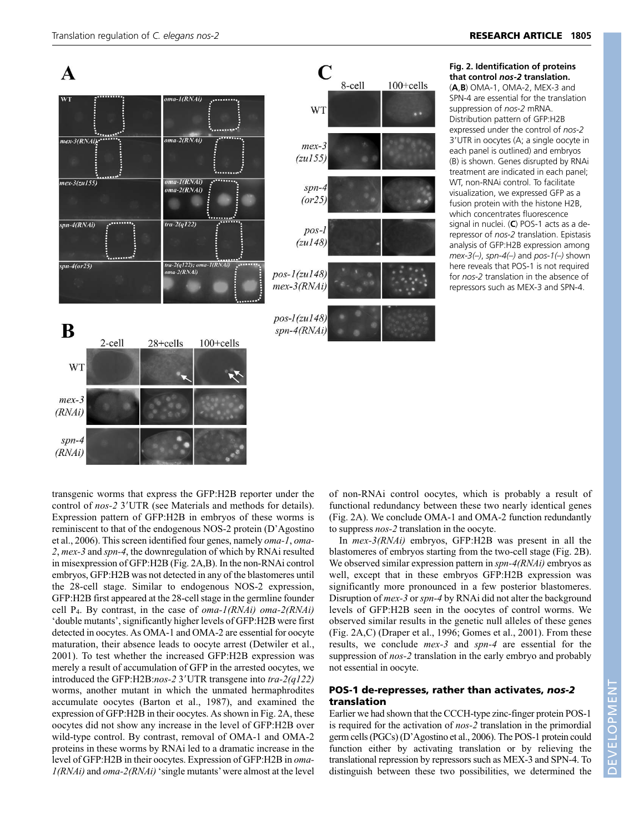

## **Fig. 2. Identification of proteins that control** *nos-2* **translation.**

(**A**,**B**) OMA-1, OMA-2, MEX-3 and SPN-4 are essential for the translation suppression of *nos-2* mRNA. Distribution pattern of GFP:H2B expressed under the control of *nos-2* 3-UTR in oocytes (A; a single oocyte in each panel is outlined) and embryos (B) is shown. Genes disrupted by RNAi treatment are indicated in each panel; WT, non-RNAi control. To facilitate visualization, we expressed GFP as a fusion protein with the histone H2B, which concentrates fluorescence signal in nuclei. (**C**) POS-1 acts as a derepressor of *nos-2* translation. Epistasis analysis of GFP:H2B expression among *mex-3(–)*, *spn-4(–)* and *pos-1(–)* shown here reveals that POS-1 is not required for *nos-2* translation in the absence of repressors such as MEX-3 and SPN-4.

transgenic worms that express the GFP:H2B reporter under the control of *nos-2* 3'UTR (see Materials and methods for details). Expression pattern of GFP:H2B in embryos of these worms is reminiscent to that of the endogenous NOS-2 protein (D'Agostino et al., 2006). This screen identified four genes, namely *oma-1*, *oma-2*, *mex-3* and *spn-4*, the downregulation of which by RNAi resulted in misexpression of GFP:H2B (Fig. 2A,B). In the non-RNAi control embryos, GFP:H2B was not detected in any of the blastomeres until the 28-cell stage. Similar to endogenous NOS-2 expression, GFP:H2B first appeared at the 28-cell stage in the germline founder cell P4. By contrast, in the case of *oma-1(RNAi) oma-2(RNAi)* 'double mutants', significantly higher levels of GFP:H2B were first detected in oocytes. As OMA-1 and OMA-2 are essential for oocyte maturation, their absence leads to oocyte arrest (Detwiler et al., 2001). To test whether the increased GFP:H2B expression was merely a result of accumulation of GFP in the arrested oocytes, we introduced the GFP:H2B:*nos-2* 3-UTR transgene into *tra-2(q122)* worms, another mutant in which the unmated hermaphrodites accumulate oocytes (Barton et al., 1987), and examined the expression of GFP:H2B in their oocytes. As shown in Fig. 2A, these oocytes did not show any increase in the level of GFP:H2B over wild-type control. By contrast, removal of OMA-1 and OMA-2 proteins in these worms by RNAi led to a dramatic increase in the level of GFP:H2B in their oocytes. Expression of GFP:H2B in *oma-1(RNAi)* and *oma-2(RNAi)* 'single mutants' were almost at the level of non-RNAi control oocytes, which is probably a result of functional redundancy between these two nearly identical genes (Fig. 2A). We conclude OMA-1 and OMA-2 function redundantly to suppress *nos-2* translation in the oocyte.

In *mex-3(RNAi)* embryos, GFP:H2B was present in all the blastomeres of embryos starting from the two-cell stage (Fig. 2B). We observed similar expression pattern in *spn-4(RNAi)* embryos as well, except that in these embryos GFP:H2B expression was significantly more pronounced in a few posterior blastomeres. Disruption of *mex-3* or *spn-4* by RNAi did not alter the background levels of GFP:H2B seen in the oocytes of control worms. We observed similar results in the genetic null alleles of these genes (Fig. 2A,C) (Draper et al., 1996; Gomes et al., 2001). From these results, we conclude *mex-3* and *spn-4* are essential for the suppression of *nos-2* translation in the early embryo and probably not essential in oocyte.

## POS-1 de-represses, rather than activates, *nos-2* translation

Earlier we had shown that the CCCH-type zinc-finger protein POS-1 is required for the activation of *nos-2* translation in the primordial germ cells (PGCs) (D'Agostino et al., 2006). The POS-1 protein could function either by activating translation or by relieving the translational repression by repressors such as MEX-3 and SPN-4. To distinguish between these two possibilities, we determined the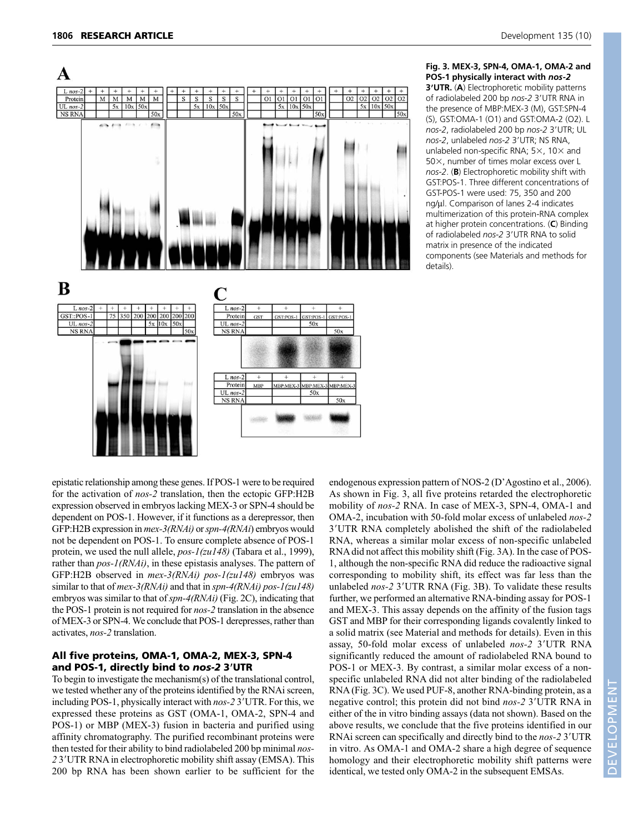$L$  nos-

GST::POS

UL nos

NS RNA



 $L$  nos-2

UL nos-

**NS RNA** 

 $L$  nos-2 Protein

 $III$ . nos **NS RNA** 

Protein

**GST** 

MBP

GST:POS-

MBP:MEX

GST:POS-

 $50<sub>x</sub>$ 

MBP:MEX

 $50x$ 

GST:POS-

MBP:MEX

#### **Fig. 3. MEX-3, SPN-4, OMA-1, OMA-2 and POS-1 physically interact with** *nos-2* **3**-**UTR.** (**A**) Electrophoretic mobility patterns of radiolabeled 200 bp nos-2 3'UTR RNA in

the presence of MBP:MEX-3 (M), GST:SPN-4 (S), GST:OMA-1 (O1) and GST:OMA-2 (O2). L nos-2, radiolabeled 200 bp nos-2 3'UTR; UL *nos-2*, unlabeled *nos-2* 3-UTR; NS RNA, unlabeled non-specific RNA;  $5\times$ , 10 $\times$  and 50X, number of times molar excess over L *nos-2*. (**B**) Electrophoretic mobility shift with GST:POS-1. Three different concentrations of GST-POS-1 were used: 75, 350 and 200 ng/μl. Comparison of lanes 2-4 indicates multimerization of this protein-RNA complex at higher protein concentrations. (**C**) Binding of radiolabeled nos-2 3'UTR RNA to solid matrix in presence of the indicated components (see Materials and methods for details).

epistatic relationship among these genes. If POS-1 were to be required for the activation of *nos-2* translation, then the ectopic GFP:H2B expression observed in embryos lacking MEX-3 or SPN-4 should be dependent on POS-1. However, if it functions as a derepressor, then GFP:H2B expression in *mex-3(RNAi)* or *spn-4(RNAi*) embryos would not be dependent on POS-1. To ensure complete absence of POS-1 protein, we used the null allele, *pos-1(zu148)* (Tabara et al., 1999), rather than *pos-1(RNAi)*, in these epistasis analyses. The pattern of GFP:H2B observed in *mex-3(RNAi) pos-1(zu148)* embryos was similar to that of *mex-3(RNAi)* and that in *spn-4(RNAi) pos-1(zu148)* embryos was similar to that of *spn-4(RNAi)* (Fig. 2C), indicating that the POS-1 protein is not required for *nos-2* translation in the absence of MEX-3 or SPN-4. We conclude that POS-1 derepresses, rather than activates, *nos-2* translation.

### All five proteins, OMA-1, OMA-2, MEX-3, SPN-4 and POS-1, directly bind to nos-2 3'UTR

To begin to investigate the mechanism(s) of the translational control, we tested whether any of the proteins identified by the RNAi screen, including POS-1, physically interact with *nos-2* 3-UTR. For this, we expressed these proteins as GST (OMA-1, OMA-2, SPN-4 and POS-1) or MBP (MEX-3) fusion in bacteria and purified using affinity chromatography. The purified recombinant proteins were then tested for their ability to bind radiolabeled 200 bp minimal *nos-*2 3'UTR RNA in electrophoretic mobility shift assay (EMSA). This 200 bp RNA has been shown earlier to be sufficient for the

endogenous expression pattern of NOS-2 (D'Agostino et al., 2006). As shown in Fig. 3, all five proteins retarded the electrophoretic mobility of *nos-2* RNA. In case of MEX-3, SPN-4, OMA-1 and OMA-2, incubation with 50-fold molar excess of unlabeled *nos-2* 3-UTR RNA completely abolished the shift of the radiolabeled RNA, whereas a similar molar excess of non-specific unlabeled RNA did not affect this mobility shift (Fig. 3A). In the case of POS-1, although the non-specific RNA did reduce the radioactive signal corresponding to mobility shift, its effect was far less than the unlabeled nos-2 3'UTR RNA (Fig. 3B). To validate these results further, we performed an alternative RNA-binding assay for POS-1 and MEX-3. This assay depends on the affinity of the fusion tags GST and MBP for their corresponding ligands covalently linked to a solid matrix (see Material and methods for details). Even in this assay, 50-fold molar excess of unlabeled *nos-2* 3'UTR RNA significantly reduced the amount of radiolabeled RNA bound to POS-1 or MEX-3. By contrast, a similar molar excess of a nonspecific unlabeled RNA did not alter binding of the radiolabeled RNA (Fig. 3C). We used PUF-8, another RNA-binding protein, as a negative control; this protein did not bind *nos-2* 3'UTR RNA in either of the in vitro binding assays (data not shown). Based on the above results, we conclude that the five proteins identified in our RNAi screen can specifically and directly bind to the *nos-2* 3'UTR in vitro. As OMA-1 and OMA-2 share a high degree of sequence homology and their electrophoretic mobility shift patterns were identical, we tested only OMA-2 in the subsequent EMSAs.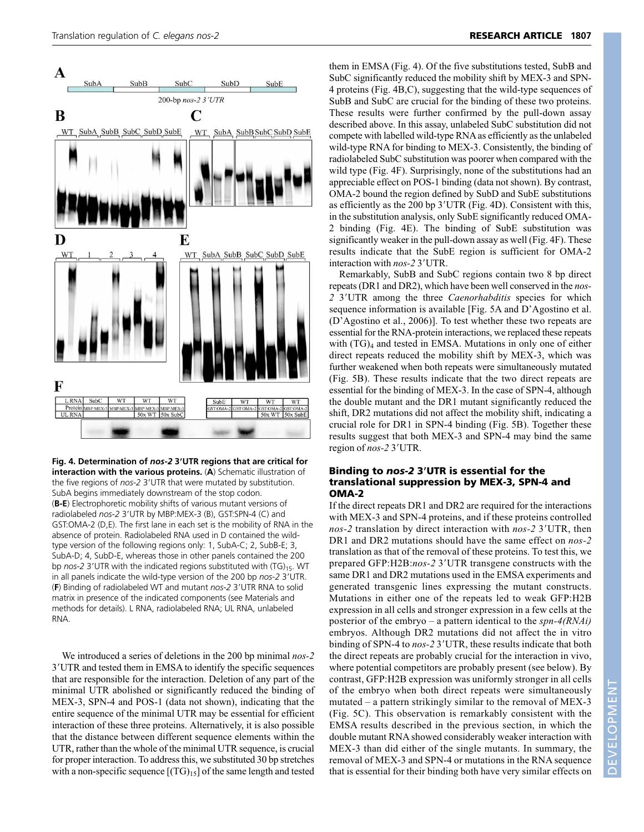

**Fig. 4. Determination of** *nos-2* **3**-**UTR regions that are critical for interaction with the various proteins.** (**A**) Schematic illustration of the five regions of nos-2 3'UTR that were mutated by substitution. SubA begins immediately downstream of the stop codon. (**B-E**) Electrophoretic mobility shifts of various mutant versions of radiolabeled nos-2 3'UTR by MBP:MEX-3 (B), GST:SPN-4 (C) and GST:OMA-2 (D,E). The first lane in each set is the mobility of RNA in the absence of protein. Radiolabeled RNA used in D contained the wildtype version of the following regions only: 1, SubA-C; 2, SubB-E; 3, SubA-D; 4, SubD-E, whereas those in other panels contained the 200 bp nos-2 3'UTR with the indicated regions substituted with (TG)<sub>15</sub>. WT in all panels indicate the wild-type version of the 200 bp nos-2 3'UTR. (F) Binding of radiolabeled WT and mutant nos-2 3'UTR RNA to solid matrix in presence of the indicated components (see Materials and methods for details). L RNA, radiolabeled RNA; UL RNA, unlabeled RNA.

We introduced a series of deletions in the 200 bp minimal *nos-2* 3-UTR and tested them in EMSA to identify the specific sequences that are responsible for the interaction. Deletion of any part of the minimal UTR abolished or significantly reduced the binding of MEX-3, SPN-4 and POS-1 (data not shown), indicating that the entire sequence of the minimal UTR may be essential for efficient interaction of these three proteins. Alternatively, it is also possible that the distance between different sequence elements within the UTR, rather than the whole of the minimal UTR sequence, is crucial for proper interaction. To address this, we substituted 30 bp stretches with a non-specific sequence  $[(TG)_{15}]$  of the same length and tested them in EMSA (Fig. 4). Of the five substitutions tested, SubB and SubC significantly reduced the mobility shift by MEX-3 and SPN-4 proteins (Fig. 4B,C), suggesting that the wild-type sequences of SubB and SubC are crucial for the binding of these two proteins. These results were further confirmed by the pull-down assay described above. In this assay, unlabeled SubC substitution did not compete with labelled wild-type RNA as efficiently as the unlabeled wild-type RNA for binding to MEX-3. Consistently, the binding of radiolabeled SubC substitution was poorer when compared with the wild type (Fig. 4F). Surprisingly, none of the substitutions had an appreciable effect on POS-1 binding (data not shown). By contrast, OMA-2 bound the region defined by SubD and SubE substitutions as efficiently as the 200 bp 3'UTR (Fig. 4D). Consistent with this, in the substitution analysis, only SubE significantly reduced OMA-2 binding (Fig. 4E). The binding of SubE substitution was significantly weaker in the pull-down assay as well (Fig. 4F). These results indicate that the SubE region is sufficient for OMA-2 interaction with nos-2 3'UTR.

Remarkably, SubB and SubC regions contain two 8 bp direct repeats (DR1 and DR2), which have been well conserved in the *nos-*2<sup>2</sup> 3'UTR among the three *Caenorhabditis* species for which sequence information is available [Fig. 5A and D'Agostino et al. (D'Agostino et al., 2006)]. To test whether these two repeats are essential for the RNA-protein interactions, we replaced these repeats with  $(TG)_{4}$  and tested in EMSA. Mutations in only one of either direct repeats reduced the mobility shift by MEX-3, which was further weakened when both repeats were simultaneously mutated (Fig. 5B). These results indicate that the two direct repeats are essential for the binding of MEX-3. In the case of SPN-4, although the double mutant and the DR1 mutant significantly reduced the shift, DR2 mutations did not affect the mobility shift, indicating a crucial role for DR1 in SPN-4 binding (Fig. 5B). Together these results suggest that both MEX-3 and SPN-4 may bind the same region of *nos-2* 3'UTR.

## **Binding to nos-2 3'UTR is essential for the** translational suppression by MEX-3, SPN-4 and OMA-2

If the direct repeats DR1 and DR2 are required for the interactions with MEX-3 and SPN-4 proteins, and if these proteins controlled nos-2 translation by direct interaction with *nos-2* 3'UTR, then DR1 and DR2 mutations should have the same effect on *nos-2* translation as that of the removal of these proteins. To test this, we prepared GFP:H2B:nos-2 3'UTR transgene constructs with the same DR1 and DR2 mutations used in the EMSA experiments and generated transgenic lines expressing the mutant constructs. Mutations in either one of the repeats led to weak GFP:H2B expression in all cells and stronger expression in a few cells at the posterior of the embryo – a pattern identical to the *spn-4(RNAi)* embryos. Although DR2 mutations did not affect the in vitro binding of SPN-4 to *nos-2* 3'UTR, these results indicate that both the direct repeats are probably crucial for the interaction in vivo, where potential competitors are probably present (see below). By contrast, GFP:H2B expression was uniformly stronger in all cells of the embryo when both direct repeats were simultaneously mutated – a pattern strikingly similar to the removal of MEX-3 (Fig. 5C). This observation is remarkably consistent with the EMSA results described in the previous section, in which the double mutant RNA showed considerably weaker interaction with MEX-3 than did either of the single mutants. In summary, the removal of MEX-3 and SPN-4 or mutations in the RNA sequence that is essential for their binding both have very similar effects on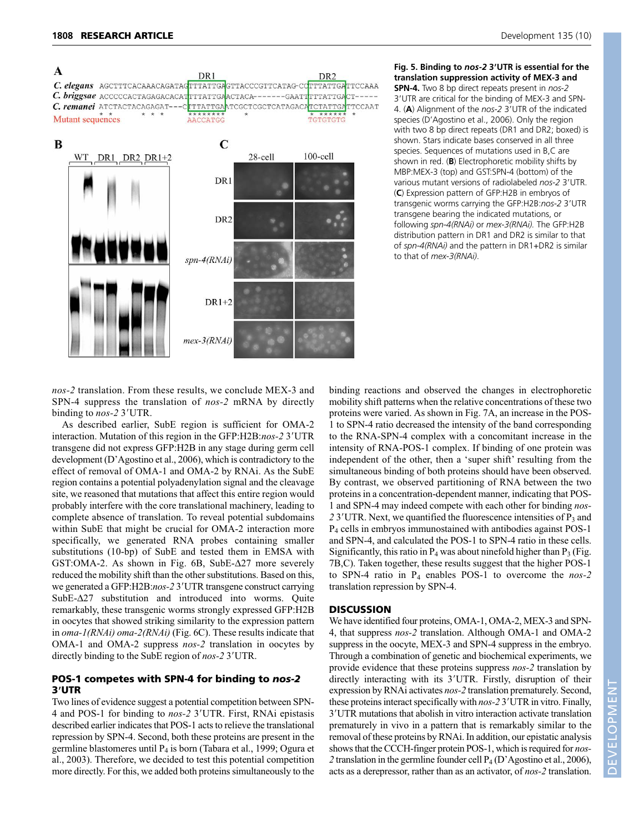

**Fig. 5. Binding to** *nos-2* **3**-**UTR is essential for the translation suppression activity of MEX-3 and SPN-4.** Two 8 bp direct repeats present in *nos-2* 3'UTR are critical for the binding of MEX-3 and SPN-4. (**A**) Alignment of the *nos-2* 3-UTR of the indicated species (D'Agostino et al., 2006). Only the region with two 8 bp direct repeats (DR1 and DR2; boxed) is shown. Stars indicate bases conserved in all three species. Sequences of mutations used in B,C are shown in red. (**B**) Electrophoretic mobility shifts by MBP:MEX-3 (top) and GST:SPN-4 (bottom) of the various mutant versions of radiolabeled nos-2 3'UTR. (**C**) Expression pattern of GFP:H2B in embryos of transgenic worms carrying the GFP:H2B:*nos-2* 3-UTR transgene bearing the indicated mutations, or following *spn-4(RNAi)* or *mex-3(RNAi).* The GFP:H2B distribution pattern in DR1 and DR2 is similar to that of *spn-4(RNAi)* and the pattern in DR1+DR2 is similar to that of *mex-3(RNAi)*.

*nos-2* translation. From these results, we conclude MEX-3 and SPN-4 suppress the translation of *nos-2* mRNA by directly binding to *nos-2* 3'UTR.

As described earlier, SubE region is sufficient for OMA-2 interaction. Mutation of this region in the GFP:H2B:*nos-2* 3-UTR transgene did not express GFP:H2B in any stage during germ cell development (D'Agostino et al., 2006), which is contradictory to the effect of removal of OMA-1 and OMA-2 by RNAi. As the SubE region contains a potential polyadenylation signal and the cleavage site, we reasoned that mutations that affect this entire region would probably interfere with the core translational machinery, leading to complete absence of translation. To reveal potential subdomains within SubE that might be crucial for OMA-2 interaction more specifically, we generated RNA probes containing smaller substitutions (10-bp) of SubE and tested them in EMSA with GST:OMA-2. As shown in Fig. 6B, SubE-∆27 more severely reduced the mobility shift than the other substitutions. Based on this, we generated a GFP:H2B:nos-2 3'UTR transgene construct carrying SubE-∆27 substitution and introduced into worms. Quite remarkably, these transgenic worms strongly expressed GFP:H2B in oocytes that showed striking similarity to the expression pattern in *oma-1(RNAi) oma-2(RNAi)* (Fig. 6C). These results indicate that OMA-1 and OMA-2 suppress *nos-2* translation in oocytes by directly binding to the SubE region of *nos-2* 3'UTR.

## POS-1 competes with SPN-4 for binding to *nos-2* 3'UTR

Two lines of evidence suggest a potential competition between SPN-4 and POS-1 for binding to *nos-2* 3'UTR. First, RNAi epistasis described earlier indicates that POS-1 acts to relieve the translational repression by SPN-4. Second, both these proteins are present in the germline blastomeres until P<sup>4</sup> is born (Tabara et al., 1999; Ogura et al., 2003). Therefore, we decided to test this potential competition more directly. For this, we added both proteins simultaneously to the binding reactions and observed the changes in electrophoretic mobility shift patterns when the relative concentrations of these two proteins were varied. As shown in Fig. 7A, an increase in the POS-1 to SPN-4 ratio decreased the intensity of the band corresponding to the RNA-SPN-4 complex with a concomitant increase in the intensity of RNA-POS-1 complex. If binding of one protein was independent of the other, then a 'super shift' resulting from the simultaneous binding of both proteins should have been observed. By contrast, we observed partitioning of RNA between the two proteins in a concentration-dependent manner, indicating that POS-1 and SPN-4 may indeed compete with each other for binding *nos-*2 3'UTR. Next, we quantified the fluorescence intensities of P<sub>3</sub> and P<sup>4</sup> cells in embryos immunostained with antibodies against POS-1 and SPN-4, and calculated the POS-1 to SPN-4 ratio in these cells. Significantly, this ratio in  $P_4$  was about ninefold higher than  $P_3$  (Fig. 7B,C). Taken together, these results suggest that the higher POS-1 to SPN-4 ratio in P<sup>4</sup> enables POS-1 to overcome the *nos-2* translation repression by SPN-4.

## **DISCUSSION**

We have identified four proteins, OMA-1, OMA-2, MEX-3 and SPN-4, that suppress *nos-2* translation. Although OMA-1 and OMA-2 suppress in the oocyte, MEX-3 and SPN-4 suppress in the embryo. Through a combination of genetic and biochemical experiments, we provide evidence that these proteins suppress *nos-2* translation by directly interacting with its 3'UTR. Firstly, disruption of their expression by RNAi activates *nos-2* translation prematurely. Second, these proteins interact specifically with *nos-2* 3-UTR in vitro. Finally, 3'UTR mutations that abolish in vitro interaction activate translation prematurely in vivo in a pattern that is remarkably similar to the removal of these proteins by RNAi. In addition, our epistatic analysis shows that the CCCH-finger protein POS-1, which is required for *nos-*2 translation in the germline founder cell  $P_4$  (D'Agostino et al., 2006), acts as a derepressor, rather than as an activator, of *nos-2* translation.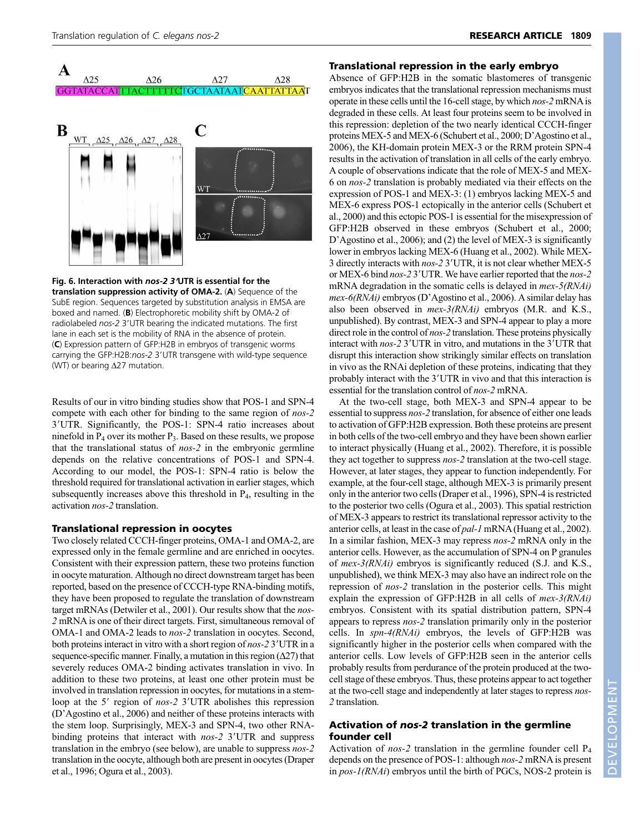



**Fig. 6. Interaction with** *nos-2 3*-**UTR is essential for the translation suppression activity of OMA-2.** (**A**) Sequence of the SubE region. Sequences targeted by substitution analysis in EMSA are boxed and named. (**B**) Electrophoretic mobility shift by OMA-2 of radiolabeled nos-2 3'UTR bearing the indicated mutations. The first lane in each set is the mobility of RNA in the absence of protein. (**C**) Expression pattern of GFP:H2B in embryos of transgenic worms carrying the GFP:H2B:nos-2 3'UTR transgene with wild-type sequence (WT) or bearing ∆27 mutation.

Results of our in vitro binding studies show that POS-1 and SPN-4 compete with each other for binding to the same region of *nos-2* 3'UTR. Significantly, the POS-1: SPN-4 ratio increases about ninefold in  $P_4$  over its mother  $P_3$ . Based on these results, we propose that the translational status of *nos-2* in the embryonic germline depends on the relative concentrations of POS-1 and SPN-4. According to our model, the POS-1: SPN-4 ratio is below the threshold required for translational activation in earlier stages, which subsequently increases above this threshold in P4, resulting in the activation *nos-2* translation.

## Translational repression in oocytes

Two closely related CCCH-finger proteins, OMA-1 and OMA-2, are expressed only in the female germline and are enriched in oocytes. Consistent with their expression pattern, these two proteins function in oocyte maturation. Although no direct downstream target has been reported, based on the presence of CCCH-type RNA-binding motifs, they have been proposed to regulate the translation of downstream target mRNAs (Detwiler et al., 2001). Our results show that the *nos-2* mRNA is one of their direct targets. First, simultaneous removal of OMA-1 and OMA-2 leads to *nos-2* translation in oocytes. Second, both proteins interact in vitro with a short region of nos-23'UTR in a sequence-specific manner. Finally, a mutation in this region  $(\Delta 27)$  that severely reduces OMA-2 binding activates translation in vivo. In addition to these two proteins, at least one other protein must be involved in translation repression in oocytes, for mutations in a stemloop at the 5' region of *nos-2* 3'UTR abolishes this repression (D'Agostino et al., 2006) and neither of these proteins interacts with the stem loop. Surprisingly, MEX-3 and SPN-4, two other RNAbinding proteins that interact with *nos-2* 3'UTR and suppress translation in the embryo (see below), are unable to suppress *nos-2* translation in the oocyte, although both are present in oocytes (Draper et al., 1996; Ogura et al., 2003).

### Translational repression in the early embryo

Absence of GFP:H2B in the somatic blastomeres of transgenic embryos indicates that the translational repression mechanisms must operate in these cells until the 16-cell stage, by which *nos-2* mRNA is degraded in these cells. At least four proteins seem to be involved in this repression: depletion of the two nearly identical CCCH-finger proteins MEX-5 and MEX-6 (Schubert et al., 2000; D'Agostino et al., 2006), the KH-domain protein MEX-3 or the RRM protein SPN-4 results in the activation of translation in all cells of the early embryo. A couple of observations indicate that the role of MEX-5 and MEX-6 on *nos-2* translation is probably mediated via their effects on the expression of POS-1 and MEX-3: (1) embryos lacking MEX-5 and MEX-6 express POS-1 ectopically in the anterior cells (Schubert et al., 2000) and this ectopic POS-1 is essential for the misexpression of GFP:H2B observed in these embryos (Schubert et al., 2000; D'Agostino et al., 2006); and (2) the level of MEX-3 is significantly lower in embryos lacking MEX-6 (Huang et al., 2002). While MEX-3 directly interacts with *nos-2* 3-UTR, it is not clear whether MEX-5 or MEX-6 bind *nos-2* 3-UTR. We have earlier reported that the *nos-2* mRNA degradation in the somatic cells is delayed in *mex-5(RNAi) mex-6(RNAi)* embryos (D'Agostino et al., 2006). A similar delay has also been observed in *mex-3(RNAi)* embryos (M.R. and K.S., unpublished). By contrast, MEX-3 and SPN-4 appear to play a more direct role in the control of *nos-2* translation. These proteins physically interact with *nos-2* 3'UTR in vitro, and mutations in the 3<sup>7</sup>UTR that disrupt this interaction show strikingly similar effects on translation in vivo as the RNAi depletion of these proteins, indicating that they probably interact with the 3'UTR in vivo and that this interaction is essential for the translation control of *nos-2* mRNA.

At the two-cell stage, both MEX-3 and SPN-4 appear to be essential to suppress *nos-2* translation, for absence of either one leads to activation of GFP:H2B expression. Both these proteins are present in both cells of the two-cell embryo and they have been shown earlier to interact physically (Huang et al., 2002). Therefore, it is possible they act together to suppress *nos-2* translation at the two-cell stage. However, at later stages, they appear to function independently. For example, at the four-cell stage, although MEX-3 is primarily present only in the anterior two cells (Draper et al., 1996), SPN-4 is restricted to the posterior two cells (Ogura et al., 2003). This spatial restriction of MEX-3 appears to restrict its translational repressor activity to the anterior cells, at least in the case of *pal-1* mRNA (Huang et al., 2002). In a similar fashion, MEX-3 may repress *nos-2* mRNA only in the anterior cells. However, as the accumulation of SPN-4 on P granules of *mex-3(RNAi)* embryos is significantly reduced (S.J. and K.S., unpublished), we think MEX-3 may also have an indirect role on the repression of *nos-2* translation in the posterior cells. This might explain the expression of GFP:H2B in all cells of *mex-3(RNAi)* embryos. Consistent with its spatial distribution pattern, SPN-4 appears to repress *nos-2* translation primarily only in the posterior cells. In *spn-4(RNAi)* embryos, the levels of GFP:H2B was significantly higher in the posterior cells when compared with the anterior cells. Low levels of GFP:H2B seen in the anterior cells probably results from perdurance of the protein produced at the twocell stage of these embryos. Thus, these proteins appear to act together at the two-cell stage and independently at later stages to repress *nos-2* translation.

## Activation of *nos-2* translation in the germline founder cell

Activation of *nos-2* translation in the germline founder cell P<sup>4</sup> depends on the presence of POS-1: although *nos-2* mRNA is present in *pos-1(RNAi*) embryos until the birth of PGCs, NOS-2 protein is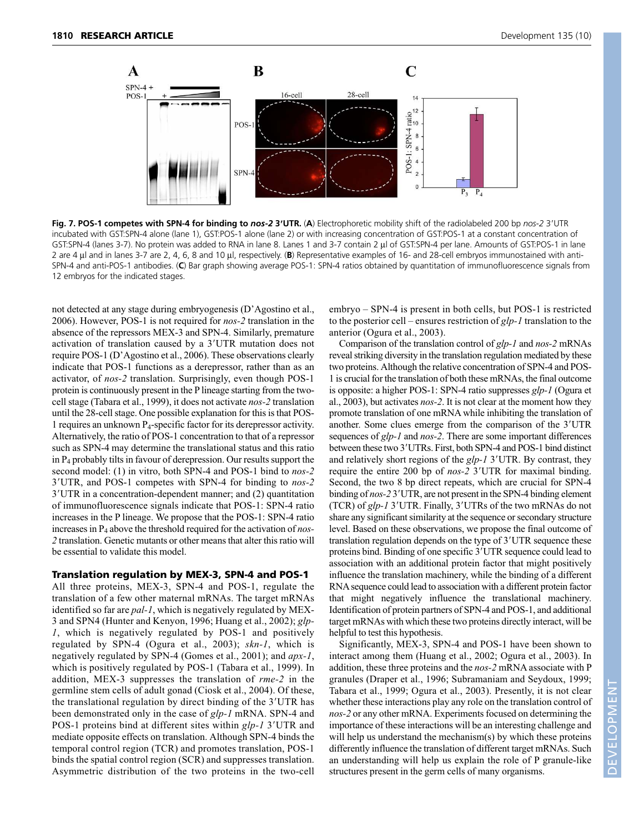

Fig. 7. POS-1 competes with SPN-4 for binding to nos-2 3'UTR. (A) Electrophoretic mobility shift of the radiolabeled 200 bp nos-2 3'UTR incubated with GST:SPN-4 alone (lane 1), GST:POS-1 alone (lane 2) or with increasing concentration of GST:POS-1 at a constant concentration of GST:SPN-4 (lanes 3-7). No protein was added to RNA in lane 8. Lanes 1 and 3-7 contain 2 μl of GST:SPN-4 per lane. Amounts of GST:POS-1 in lane 2 are 4 μl and in lanes 3-7 are 2, 4, 6, 8 and 10 μl, respectively. (**B**) Representative examples of 16- and 28-cell embryos immunostained with anti-SPN-4 and anti-POS-1 antibodies. (**C**) Bar graph showing average POS-1: SPN-4 ratios obtained by quantitation of immunofluorescence signals from 12 embryos for the indicated stages.

not detected at any stage during embryogenesis (D'Agostino et al., 2006). However, POS-1 is not required for *nos-2* translation in the absence of the repressors MEX-3 and SPN-4. Similarly, premature activation of translation caused by a 3'UTR mutation does not require POS-1 (D'Agostino et al., 2006). These observations clearly indicate that POS-1 functions as a derepressor, rather than as an activator, of *nos-2* translation. Surprisingly, even though POS-1 protein is continuously present in the P lineage starting from the twocell stage (Tabara et al., 1999), it does not activate *nos-2* translation until the 28-cell stage. One possible explanation for this is that POS-1 requires an unknown P4-specific factor for its derepressor activity. Alternatively, the ratio of POS-1 concentration to that of a repressor such as SPN-4 may determine the translational status and this ratio in P<sup>4</sup> probably tilts in favour of derepression. Our results support the second model: (1) in vitro, both SPN-4 and POS-1 bind to *nos-2* 3-UTR, and POS-1 competes with SPN-4 for binding to *nos-2* 3-UTR in a concentration-dependent manner; and (2) quantitation of immunofluorescence signals indicate that POS-1: SPN-4 ratio increases in the P lineage. We propose that the POS-1: SPN-4 ratio increases in P<sup>4</sup> above the threshold required for the activation of *nos-2* translation. Genetic mutants or other means that alter this ratio will be essential to validate this model.

#### Translation regulation by MEX-3, SPN-4 and POS-1

All three proteins, MEX-3, SPN-4 and POS-1, regulate the translation of a few other maternal mRNAs. The target mRNAs identified so far are *pal-1*, which is negatively regulated by MEX-3 and SPN4 (Hunter and Kenyon, 1996; Huang et al., 2002); *glp-1*, which is negatively regulated by POS-1 and positively regulated by SPN-4 (Ogura et al., 2003); *skn-1*, which is negatively regulated by SPN-4 (Gomes et al., 2001); and *apx-1*, which is positively regulated by POS-1 (Tabara et al., 1999). In addition, MEX-3 suppresses the translation of *rme-2* in the germline stem cells of adult gonad (Ciosk et al., 2004). Of these, the translational regulation by direct binding of the 3'UTR has been demonstrated only in the case of *glp-1* mRNA. SPN-4 and POS-1 proteins bind at different sites within *glp-1* 3'UTR and mediate opposite effects on translation. Although SPN-4 binds the temporal control region (TCR) and promotes translation, POS-1 binds the spatial control region (SCR) and suppresses translation. Asymmetric distribution of the two proteins in the two-cell embryo – SPN-4 is present in both cells, but POS-1 is restricted to the posterior cell – ensures restriction of *glp-1* translation to the anterior (Ogura et al., 2003).

Comparison of the translation control of *glp-1* and *nos-2* mRNAs reveal striking diversity in the translation regulation mediated by these two proteins. Although the relative concentration of SPN-4 and POS-1 is crucial for the translation of both these mRNAs, the final outcome is opposite: a higher POS-1: SPN-4 ratio suppresses *glp-1* (Ogura et al., 2003), but activates *nos-2*. It is not clear at the moment how they promote translation of one mRNA while inhibiting the translation of another. Some clues emerge from the comparison of the 3'UTR sequences of *glp-1* and *nos-2*. There are some important differences between these two 3'UTRs. First, both SPN-4 and POS-1 bind distinct and relatively short regions of the *glp-1* 3'UTR. By contrast, they require the entire 200 bp of *nos-2* 3'UTR for maximal binding. Second, the two 8 bp direct repeats, which are crucial for SPN-4 binding of nos-2 3'UTR, are not present in the SPN-4 binding element  $(TCR)$  of  $glp-13' \text{UTR}$ . Finally,  $3' \text{UTRs}$  of the two mRNAs do not share any significant similarity at the sequence or secondary structure level. Based on these observations, we propose the final outcome of translation regulation depends on the type of 3'UTR sequence these proteins bind. Binding of one specific 3'UTR sequence could lead to association with an additional protein factor that might positively influence the translation machinery, while the binding of a different RNA sequence could lead to association with a different protein factor that might negatively influence the translational machinery. Identification of protein partners of SPN-4 and POS-1, and additional target mRNAs with which these two proteins directly interact, will be helpful to test this hypothesis.

Significantly, MEX-3, SPN-4 and POS-1 have been shown to interact among them (Huang et al., 2002; Ogura et al., 2003). In addition, these three proteins and the *nos-2* mRNA associate with P granules (Draper et al., 1996; Subramaniam and Seydoux, 1999; Tabara et al., 1999; Ogura et al., 2003). Presently, it is not clear whether these interactions play any role on the translation control of *nos-2* or any other mRNA. Experiments focused on determining the importance of these interactions will be an interesting challenge and will help us understand the mechanism(s) by which these proteins differently influence the translation of different target mRNAs. Such an understanding will help us explain the role of P granule-like structures present in the germ cells of many organisms.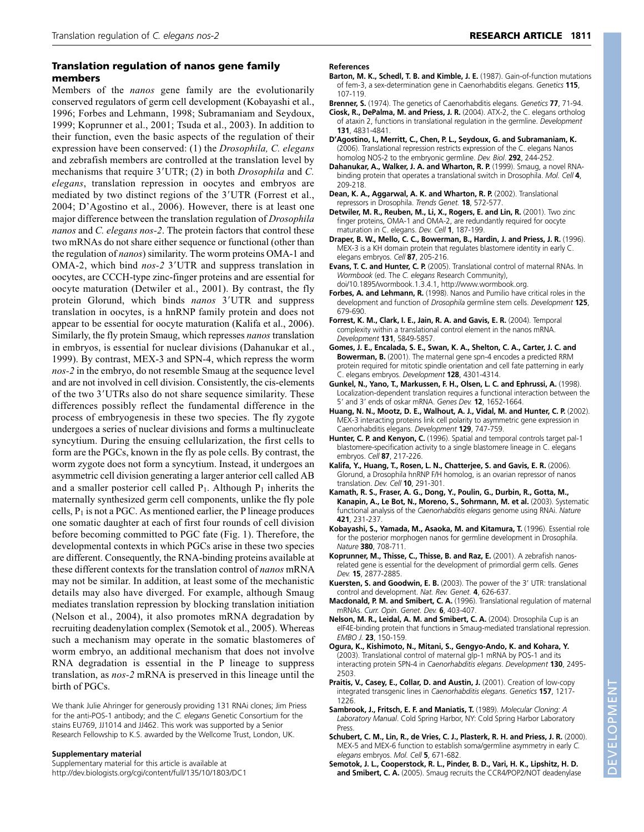# Translation regulation of nanos gene family members

Members of the *nanos* gene family are the evolutionarily conserved regulators of germ cell development (Kobayashi et al., 1996; Forbes and Lehmann, 1998; Subramaniam and Seydoux, 1999; Koprunner et al., 2001; Tsuda et al., 2003). In addition to their function, even the basic aspects of the regulation of their expression have been conserved: (1) the *Drosophila, C. elegans* and zebrafish members are controlled at the translation level by mechanisms that require 3'UTR; (2) in both *Drosophila* and *C*. *elegans*, translation repression in oocytes and embryos are mediated by two distinct regions of the 3'UTR (Forrest et al., 2004; D'Agostino et al., 2006). However, there is at least one major difference between the translation regulation of *Drosophila nanos* and *C. elegans nos-2*. The protein factors that control these two mRNAs do not share either sequence or functional (other than the regulation of *nanos*) similarity. The worm proteins OMA-1 and OMA-2, which bind *nos-2* 3'UTR and suppress translation in oocytes, are CCCH-type zinc-finger proteins and are essential for oocyte maturation (Detwiler et al., 2001). By contrast, the fly protein Glorund, which binds *nanos* 3'UTR and suppress translation in oocytes, is a hnRNP family protein and does not appear to be essential for oocyte maturation (Kalifa et al., 2006). Similarly, the fly protein Smaug, which represses *nanos* translation in embryos, is essential for nuclear divisions (Dahanukar et al., 1999). By contrast, MEX-3 and SPN-4, which repress the worm *nos-2* in the embryo, do not resemble Smaug at the sequence level and are not involved in cell division. Consistently, the cis-elements of the two 3'UTRs also do not share sequence similarity. These differences possibly reflect the fundamental difference in the process of embryogenesis in these two species. The fly zygote undergoes a series of nuclear divisions and forms a multinucleate syncytium. During the ensuing cellularization, the first cells to form are the PGCs, known in the fly as pole cells. By contrast, the worm zygote does not form a syncytium. Instead, it undergoes an asymmetric cell division generating a larger anterior cell called AB and a smaller posterior cell called  $P_1$ . Although  $P_1$  inherits the maternally synthesized germ cell components, unlike the fly pole cells,  $P_1$  is not a PGC. As mentioned earlier, the P lineage produces one somatic daughter at each of first four rounds of cell division before becoming committed to PGC fate (Fig. 1). Therefore, the developmental contexts in which PGCs arise in these two species are different. Consequently, the RNA-binding proteins available at these different contexts for the translation control of *nanos* mRNA may not be similar. In addition, at least some of the mechanistic details may also have diverged. For example, although Smaug mediates translation repression by blocking translation initiation (Nelson et al., 2004), it also promotes mRNA degradation by recruiting deadenylation complex (Semotok et al., 2005). Whereas such a mechanism may operate in the somatic blastomeres of worm embryo, an additional mechanism that does not involve RNA degradation is essential in the P lineage to suppress translation, as *nos-2* mRNA is preserved in this lineage until the birth of PGCs.

We thank Julie Ahringer for generously providing 131 RNAi clones; Jim Priess for the anti-POS-1 antibody; and the *C. elegans* Genetic Consortium for the stains EU769, JJ1014 and JJ462. This work was supported by a Senior Research Fellowship to K.S. awarded by the Wellcome Trust, London, UK.

#### **Supplementary material**

Supplementary material for this article is available at http://dev.biologists.org/cgi/content/full/135/10/1803/DC1

#### **References**

- **Barton, M. K., Schedl, T. B. and Kimble, J. E.** (1987). Gain-of-function mutations of fem-3, a sex-determination gene in Caenorhabditis elegans. *Genetics* **115**, 107-119.
- **Brenner, S.** (1974). The genetics of Caenorhabditis elegans. *Genetics* **77**, 71-94.
- **Ciosk, R., DePalma, M. and Priess, J. R.** (2004). ATX-2, the C. elegans ortholog of ataxin 2, functions in translational regulation in the germline. *Development* **131**, 4831-4841.
- **D'Agostino, I., Merritt, C., Chen, P. L., Seydoux, G. and Subramaniam, K.** (2006). Translational repression restricts expression of the C. elegans Nanos homolog NOS-2 to the embryonic germline. *Dev. Biol*. **292**, 244-252.
- **Dahanukar, A., Walker, J. A. and Wharton, R. P.** (1999). Smaug, a novel RNAbinding protein that operates a translational switch in Drosophila. *Mol. Cell* **4**, 209-218.
- **Dean, K. A., Aggarwal, A. K. and Wharton, R. P.** (2002). Translational repressors in Drosophila. *Trends Genet.* **18**, 572-577.
- **Detwiler, M. R., Reuben, M., Li, X., Rogers, E. and Lin, R.** (2001). Two zinc finger proteins, OMA-1 and OMA-2, are redundantly required for oocyte maturation in C. elegans. *Dev. Cell* **1**, 187-199.
- **Draper, B. W., Mello, C. C., Bowerman, B., Hardin, J. and Priess, J. R.** (1996). MEX-3 is a KH domain protein that regulates blastomere identity in early C. elegans embryos. *Cell* **87**, 205-216.
- **Evans, T. C. and Hunter, C. P.** (2005). Translational control of maternal RNAs. In *Wormbook* (ed. The *C. elegans* Research Community),
- doi/10.1895/wormbook.1.3.4.1, http://www.wormbook.org. **Forbes, A. and Lehmann, R.** (1998). Nanos and Pumilio have critical roles in the development and function of *Drosophila* germline stem cells. *Development* **125**, 679-690.
- **Forrest, K. M., Clark, I. E., Jain, R. A. and Gavis, E. R.** (2004). Temporal complexity within a translational control element in the nanos mRNA. *Development* **131**, 5849-5857.
- **Gomes, J. E., Encalada, S. E., Swan, K. A., Shelton, C. A., Carter, J. C. and Bowerman, B.** (2001). The maternal gene spn-4 encodes a predicted RRM protein required for mitotic spindle orientation and cell fate patterning in early C. elegans embryos. *Development* **128**, 4301-4314.
- **Gunkel, N., Yano, T., Markussen, F. H., Olsen, L. C. and Ephrussi, A.** (1998). Localization-dependent translation requires a functional interaction between the 5' and 3' ends of oskar mRNA. Genes Dev. **12**, 1652-1664.
- **Huang, N. N., Mootz, D. E., Walhout, A. J., Vidal, M. and Hunter, C. P.** (2002). MEX-3 interacting proteins link cell polarity to asymmetric gene expression in Caenorhabditis elegans. *Development* **129**, 747-759.
- Hunter, C. P. and Kenyon, C. (1996). Spatial and temporal controls target pal-1 blastomere-specification activity to a single blastomere lineage in C. elegans embryos. *Cell* **87**, 217-226.
- **Kalifa, Y., Huang, T., Rosen, L. N., Chatterjee, S. and Gavis, E. R.** (2006). Glorund, a Drosophila hnRNP F/H homolog, is an ovarian repressor of nanos translation. *Dev. Cell* **10**, 291-301.
- **Kamath, R. S., Fraser, A. G., Dong, Y., Poulin, G., Durbin, R., Gotta, M., Kanapin, A., Le Bot, N., Moreno, S., Sohrmann, M. et al.** (2003). Systematic functional analysis of the *Caenorhabditis elegans* genome using RNAi. *Nature* **421**, 231-237.
- **Kobayashi, S., Yamada, M., Asaoka, M. and Kitamura, T.** (1996). Essential role for the posterior morphogen nanos for germline development in Drosophila. *Nature* **380**, 708-711.
- **Koprunner, M., Thisse, C., Thisse, B. and Raz, E.** (2001). A zebrafish nanosrelated gene is essential for the development of primordial germ cells. *Genes Dev.* **15**, 2877-2885.
- Kuersten, S. and Goodwin, E. B. (2003). The power of the 3' UTR: translational control and development. *Nat. Rev. Genet.* **4**, 626-637.
- **Macdonald, P. M. and Smibert, C. A.** (1996). Translational regulation of maternal mRNAs. *Curr. Opin. Genet. Dev.* **6**, 403-407.
- **Nelson, M. R., Leidal, A. M. and Smibert, C. A.** (2004). Drosophila Cup is an eIF4E-binding protein that functions in Smaug-mediated translational repression. *EMBO J.* **23**, 150-159.
- **Ogura, K., Kishimoto, N., Mitani, S., Gengyo-Ando, K. and Kohara, Y.** (2003). Translational control of maternal glp-1 mRNA by POS-1 and its interacting protein SPN-4 in *Caenorhabditis elegans*. *Development* **130**, 2495- 2503.
- **Praitis, V., Casey, E., Collar, D. and Austin, J.** (2001). Creation of low-copy integrated transgenic lines in *Caenorhabditis elegans*. *Genetics* **157**, 1217- 1226.
- **Sambrook, J., Fritsch, E. F. and Maniatis, T.** (1989). *Molecular Cloning: A Laboratory Manual*. Cold Spring Harbor, NY: Cold Spring Harbor Laboratory Press.
- **Schubert, C. M., Lin, R., de Vries, C. J., Plasterk, R. H. and Priess, J. R.** (2000). MEX-5 and MEX-6 function to establish soma/germline asymmetry in early *C. elegans* embryos. *Mol. Cell* **5**, 671-682.
- **Semotok, J. L., Cooperstock, R. L., Pinder, B. D., Vari, H. K., Lipshitz, H. D. and Smibert, C. A.** (2005). Smaug recruits the CCR4/POP2/NOT deadenylase